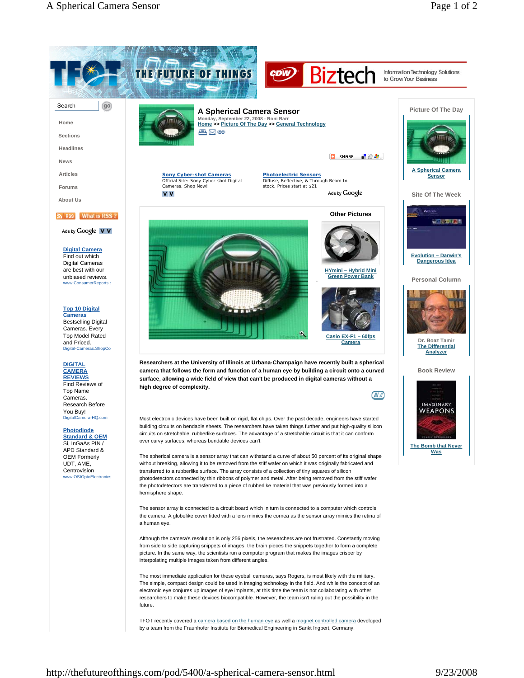